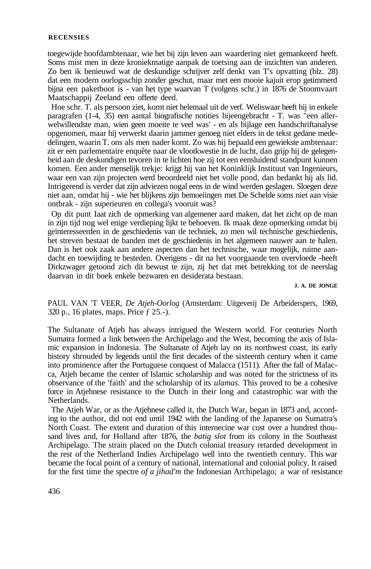## **RECENSIES**

toegewijde hoofdambtenaar, wie het bij zijn leven aan waardering niet gemankeerd heeft. Soms mist men in deze kroniekmatige aanpak de toetsing aan de inzichten van anderen. Zo ben ik benieuwd wat de deskundige schrijver zelf denkt van T's opvatting (blz. 28) dat een modern oorlogsschip zonder geschut, maar met een mooie kajuit erop getimmerd bijna een paketboot is - van het type waarvan T (volgens schr.) in 1876 de Stoomvaart Maatschappij Zeeland een offerte deed.

Hoe schr. T. als persoon ziet, komt niet helemaal uit de verf. Weliswaar heeft hij in enkele paragrafen (1-4, 35) een aantal biografische notities bijeengebracht - T. was "een allerwelwillendste man, wien geen moeite te veel was' - en als bijlage een handschriftanalyse opgenomen, maar hij verwerkt daarin jammer genoeg niet elders in de tekst gedane mededelingen, waarin T. ons als men nader komt. Zo was hij bepaald een gewiekste ambtenaar: zit er een parlementaire enquête naar de vlootkwestie in de lucht, dan grijp hij de gelegenheid aan de deskundigen tevoren in te lichten hoe zij tot een eensluidend standpunt kunnen komen. Een ander menselijk trekje: krijgt hij van het Koninklijk Instituut van Ingenieurs, waar een van zijn projecten werd beoordeeld niet het volle pond, dan bedankt hij als lid. Intrigerend is verder dat zijn adviezen nogal eens in de wind werden geslagen. Sloegen deze niet aan, omdat hij - wie het blijkens zijn bemoeiingen met De Schelde soms niet aan visie ontbrak - zijn superieuren en collega's vooruit was?

Op dit punt Iaat zich de opmerking van algemener aard maken, dat het zicht op de man in zijn tijd nog wel enige verdieping lijkt te behoeven. Ik maak deze opmerking omdat bij geïnteresseerden in de geschiedenis van de techniek, zo men wil technische geschiedenis, het streven bestaat de banden met de geschiedenis in het algemeen nauwer aan te halen. Dan is het ook zaak aan andere aspecten dan het technische, waar mogelijk, ruime aandacht en toewijding te besteden. Overigens - dit na het voorgaande ten overvloede -heeft Dirkzwager getoond zich dit bewust te zijn, zij het dat met betrekking tot de neerslag daarvan in dit boek enkele bezwaren en desiderata bestaan.

**J. A. DE JONGE** 

PAUL VAN 'T VEER, *De Atjeh-Oorlog* (Amsterdam: Uitgeverij De Arbeiderspers, 1969, 320 p., 16 plates, maps. Price ƒ 25.-).

The Sultanate of Atjeh has always intrigued the Western world. For centuries North Sumatra formed a link between the Archipelago and the West, becoming the axis of Islamic expansion in Indonesia. The Sultanate of Atjeh lay on its northwest coast, its early history shrouded by legends until the first decades of the sixteenth century when it came into prominence after the Portuguese conquest of Malacca (1511). After the fall of Malacca, Atjeh became the center of Islamic scholarship and was noted for the strictness of its observance of the 'faith' and the scholarship of its *ulamas.* This proved to be a cohesive force in Atjehnese resistance to the Dutch in their long and catastrophic war with the Netherlands.

The Atjeh War, or as the Atjehnese called it, the Dutch War, began in 1873 and, according to the author, did not end until 1942 with the landing of the Japanese on Sumatra's North Coast. The extent and duration of this internecine war cost over a hundred thousand lives and, for Holland after 1876, the *batig slot* from its colony in the Southeast Archipelago. The strain placed on the Dutch colonial treasury retarded development in the rest of the Netherland Indies Archipelago well into the twentieth century. This war became the focal point of a century of national, international and colonial policy. It raised for the first time the spectre *of a jihad'm* the Indonesian Archipelago; a war of resistance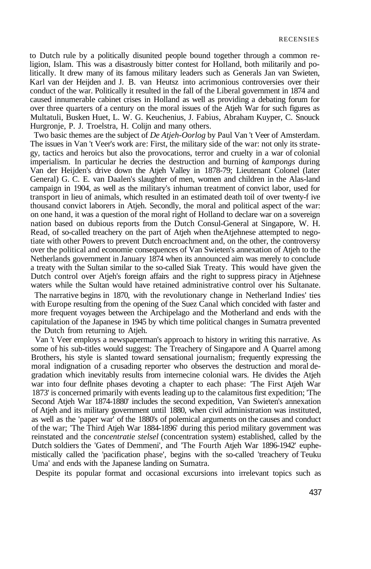to Dutch rule by a politically disunited people bound together through a common religion, Islam. This was a disastrously bitter contest for Holland, both militarily and politically. It drew many of its famous military leaders such as Generals Jan van Swieten, Karl van der Heijden and J. B. van Heutsz into acrimonious controversies over their conduct of the war. Politically it resulted in the fall of the Liberal government in 1874 and caused innumerable cabinet crises in Holland as well as providing a debating forum for over three quarters of a century on the moral issues of the Atjeh War for such figures as Multatuli, Busken Huet, L. W. G. Keuchenius, J. Fabius, Abraham Kuyper, C. Snouck Hurgronje, P. J. Troelstra, H. Colijn and many others.

Two basic themes are the subject of *De Atjeh-Oorlog* by Paul Van 't Veer of Amsterdam. The issues in Van 't Veer's work are: First, the military side of the war: not only its strategy, tactics and heroics but also the provocations, terror and cruelty in a war of colonial imperialism. In particular he decries the destruction and burning of *kampongs* during Van der Heijden's drive down the Atjeh Valley in 1878-79; Lieutenant Colonel (later General) G. C. E. van Daalen's slaughter of men, women and children in the Alas-land campaign in 1904, as well as the military's inhuman treatment of convict labor, used for transport in lieu of animals, which resulted in an estimated death toil of over twenty-f ive thousand convict laborers in Atjeh. Secondly, the moral and political aspect of the war: on one hand, it was a question of the moral right of Holland to declare war on a sovereign nation based on dubious reports from the Dutch Consul-General at Singapore, W. H. Read, of so-called treachery on the part of Atjeh when theAtjehnese attempted to negotiate with other Powers to prevent Dutch encroachment and, on the other, the controversy over the political and economie consequences of Van Swieten's annexation of Atjeh to the Netherlands government in January 1874 when its announced aim was merely to conclude a treaty with the Sultan similar to the so-called Siak Treaty. This would have given the Dutch control over Atjeh's foreign affairs and the right to suppress piracy in Atjehnese waters while the Sultan would have retained administrative control over his Sultanate.

The narrative begins in 1870, with the revolutionary change in Netherland Indies' ties with Europe resulting from the opening of the Suez Canal which concided with faster and more frequent voyages between the Archipelago and the Motherland and ends with the capitulation of the Japanese in 1945 by which time political changes in Sumatra prevented the Dutch from returning to Atjeh.

Van 't Veer employs a newspaperman's approach to history in writing this narrative. As some of his sub-titles would suggest: The Treachery of Singapore and A Quarrel among Brothers, his style is slanted toward sensational journalism; frequently expressing the moral indignation of a crusading reporter who observes the destruction and moral degradation which inevitably results from internecine colonial wars. He divides the Atjeh war into four deflnite phases devoting a chapter to each phase: 'The First Atjeh War 1873' is concerned primarily with events leading up to the calamitous first expedition; 'The Second Atjeh War 1874-1880' includes the second expedition, Van Swieten's annexation of Atjeh and its military government until 1880, when civil administration was instituted, as well as the 'paper war' of the 1880's of polemical arguments on the causes and conduct of the war; 'The Third Atjeh War 1884-1896' during this period military government was reinstated and the *concentratie stelsel* (concentration system) established, called by the Dutch soldiers the 'Gates of Demmeni', and 'The Fourth Atjeh War 1896-1942' euphemistically called the 'pacification phase', begins with the so-called 'treachery of Teuku Uma' and ends with the Japanese landing on Sumatra.

Despite its popular format and occasional excursions into irrelevant topics such as